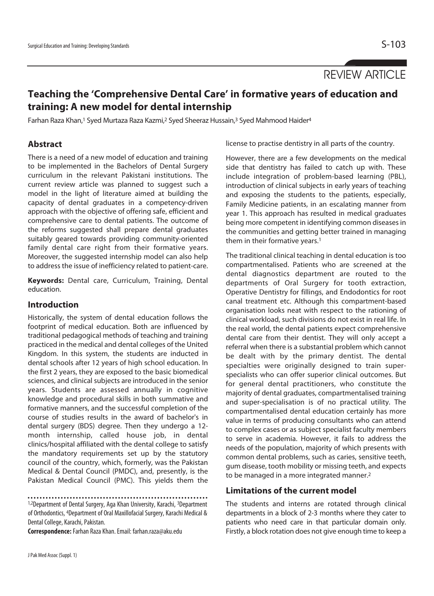# REVIEW ARTICLE

## **Teaching the 'Comprehensive Dental Care' in formative years of education and training: A new model for dental internship**

Farhan Raza Khan,<sup>1</sup> Syed Murtaza Raza Kazmi,<sup>2</sup> Syed Sheeraz Hussain,<sup>3</sup> Syed Mahmood Haider<sup>4</sup>

#### **Abstract**

There is a need of a new model of education and training to be implemented in the Bachelors of Dental Surgery curriculum in the relevant Pakistani institutions. The current review article was planned to suggest such a model in the light of literature aimed at building the capacity of dental graduates in a competency-driven approach with the objective of offering safe, efficient and comprehensive care to dental patients. The outcome of the reforms suggested shall prepare dental graduates suitably geared towards providing community-oriented family dental care right from their formative years. Moreover, the suggested internship model can also help to address the issue of inefficiency related to patient-care.

**Keywords:** Dental care, Curriculum, Training, Dental education.

#### **Introduction**

Historically, the system of dental education follows the footprint of medical education. Both are influenced by traditional pedagogical methods of teaching and training practiced in the medical and dental colleges of the United Kingdom. In this system, the students are inducted in dental schools after 12 years of high school education. In the first 2 years, they are exposed to the basic biomedical sciences, and clinical subjects are introduced in the senior years. Students are assessed annually in cognitive knowledge and procedural skills in both summative and formative manners, and the successful completion of the course of studies results in the award of bachelor's in dental surgery (BDS) degree. Then they undergo a 12 month internship, called house job, in dental clinics/hospital affiliated with the dental college to satisfy the mandatory requirements set up by the statutory council of the country, which, formerly, was the Pakistan Medical & Dental Council (PMDC), and, presently, is the Pakistan Medical Council (PMC). This yields them the

1,2Department of Dental Surgery, Aga Khan University, Karachi, 3Department of Orthodontics, 4Department of Oral Maxillofacial Surgery, Karachi Medical & Dental College, Karachi, Pakistan.

**Correspondence:** Farhan Raza Khan. Email: farhan.raza@aku.edu

license to practise dentistry in all parts of the country.

However, there are a few developments on the medical side that dentistry has failed to catch up with. These include integration of problem-based learning (PBL), introduction of clinical subjects in early years of teaching and exposing the students to the patients, especially, Family Medicine patients, in an escalating manner from year 1. This approach has resulted in medical graduates being more competent in identifying common diseases in the communities and getting better trained in managing them in their formative years.<sup>1</sup>

The traditional clinical teaching in dental education is too compartmentalised. Patients who are screened at the dental diagnostics department are routed to the departments of Oral Surgery for tooth extraction, Operative Dentistry for fillings, and Endodontics for root canal treatment etc. Although this compartment-based organisation looks neat with respect to the rationing of clinical workload, such divisions do not exist in real life. In the real world, the dental patients expect comprehensive dental care from their dentist. They will only accept a referral when there is a substantial problem which cannot be dealt with by the primary dentist. The dental specialties were originally designed to train superspecialists who can offer superior clinical outcomes. But for general dental practitioners, who constitute the majority of dental graduates, compartmentalised training and super-specialisation is of no practical utility. The compartmentalised dental education certainly has more value in terms of producing consultants who can attend to complex cases or as subject specialist faculty members to serve in academia. However, it fails to address the needs of the population, majority of which presents with common dental problems, such as caries, sensitive teeth, gum disease, tooth mobility or missing teeth, and expects to be managed in a more integrated manner.2

#### **Limitations of the current model**

The students and interns are rotated through clinical departments in a block of 2-3 months where they cater to patients who need care in that particular domain only. Firstly, a block rotation does not give enough time to keep a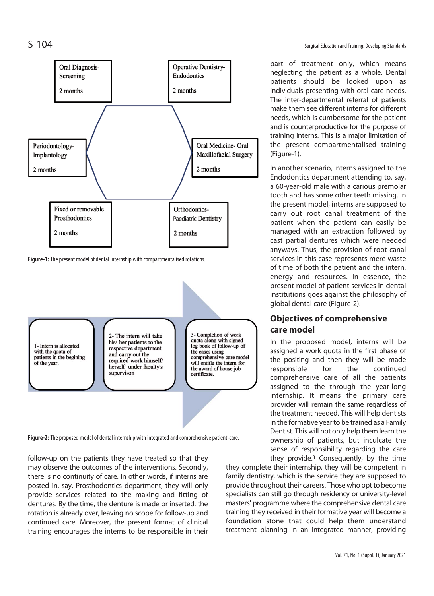

**Figure-1:** The present model of dental internship with compartmentalised rotations.



**Figure-2:** The proposed model of dental internship with integrated and comprehensive patient-care.

follow-up on the patients they have treated so that they may observe the outcomes of the interventions. Secondly, there is no continuity of care. In other words, if interns are posted in, say, Prosthodontics department, they will only provide services related to the making and fitting of dentures. By the time, the denture is made or inserted, the rotation is already over, leaving no scope for follow-up and continued care. Moreover, the present format of clinical training encourages the interns to be responsible in their

part of treatment only, which means neglecting the patient as a whole. Dental patients should be looked upon as individuals presenting with oral care needs. The inter-departmental referral of patients make them see different interns for different needs, which is cumbersome for the patient and is counterproductive for the purpose of training interns. This is a major limitation of the present compartmentalised training (Figure-1).

In another scenario, interns assigned to the Endodontics department attending to, say, a 60-year-old male with a carious premolar tooth and has some other teeth missing. In the present model, interns are supposed to carry out root canal treatment of the patient when the patient can easily be managed with an extraction followed by cast partial dentures which were needed anyways. Thus, the provision of root canal services in this case represents mere waste of time of both the patient and the intern, energy and resources. In essence, the present model of patient services in dental institutions goes against the philosophy of global dental care (Figure-2).

### **Objectives of comprehensive care model**

In the proposed model, interns will be assigned a work quota in the first phase of the positing and then they will be made responsible for the continued comprehensive care of all the patients assigned to the through the year-long internship. It means the primary care provider will remain the same regardless of the treatment needed. This will help dentists in the formative year to be trained as a Family Dentist. This will not only help them learn the ownership of patients, but inculcate the sense of responsibility regarding the care they provide.3 Consequently, by the time

they complete their internship, they will be competent in family dentistry, which is the service they are supposed to provide throughout their careers. Those who opt to become specialists can still go through residency or university-level masters' programme where the comprehensive dental care training they received in their formative year will become a foundation stone that could help them understand treatment planning in an integrated manner, providing